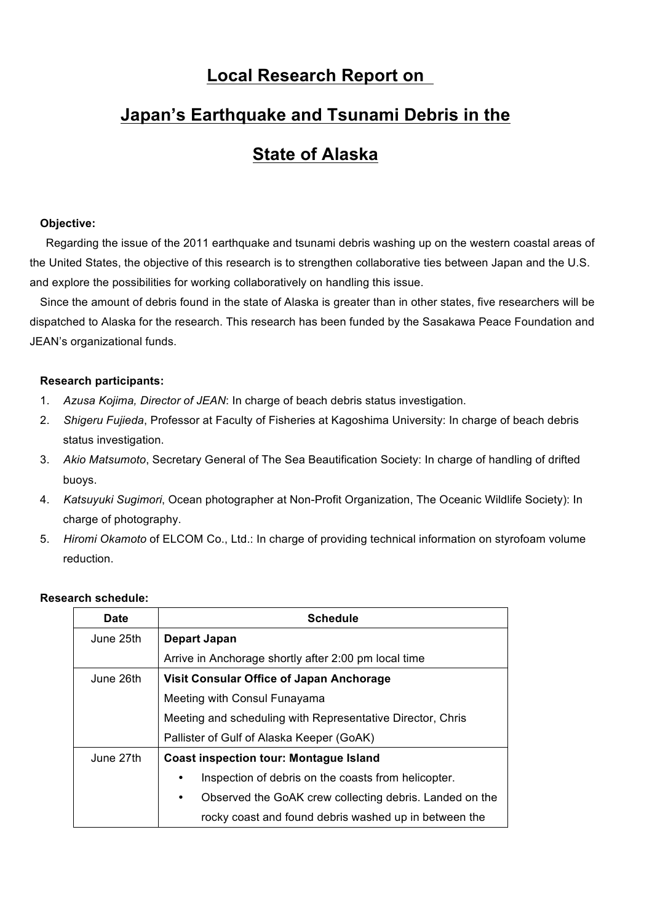# **Local Research Report on**

# **Japan's Earthquake and Tsunami Debris in the**

# **State of Alaska**

### **Objective:**

Regarding the issue of the 2011 earthquake and tsunami debris washing up on the western coastal areas of the United States, the objective of this research is to strengthen collaborative ties between Japan and the U.S. and explore the possibilities for working collaboratively on handling this issue.

Since the amount of debris found in the state of Alaska is greater than in other states, five researchers will be dispatched to Alaska for the research. This research has been funded by the Sasakawa Peace Foundation and JEAN's organizational funds.

#### **Research participants:**

- 1. *Azusa Kojima, Director of JEAN*: In charge of beach debris status investigation.
- 2. *Shigeru Fujieda*, Professor at Faculty of Fisheries at Kagoshima University: In charge of beach debris status investigation.
- 3. *Akio Matsumoto*, Secretary General of The Sea Beautification Society: In charge of handling of drifted buoys.
- 4. *Katsuyuki Sugimori*, Ocean photographer at Non-Profit Organization, The Oceanic Wildlife Society): In charge of photography.
- 5. *Hiromi Okamoto* of ELCOM Co., Ltd.: In charge of providing technical information on styrofoam volume reduction.

| <b>Date</b> | <b>Schedule</b>                                                      |
|-------------|----------------------------------------------------------------------|
| June 25th   | Depart Japan                                                         |
|             | Arrive in Anchorage shortly after 2:00 pm local time                 |
| June 26th   | Visit Consular Office of Japan Anchorage                             |
|             | Meeting with Consul Funayama                                         |
|             | Meeting and scheduling with Representative Director, Chris           |
|             | Pallister of Gulf of Alaska Keeper (GoAK)                            |
| June 27th   | <b>Coast inspection tour: Montague Island</b>                        |
|             | Inspection of debris on the coasts from helicopter.                  |
|             | Observed the GoAK crew collecting debris. Landed on the<br>$\bullet$ |
|             | rocky coast and found debris washed up in between the                |

### **Research schedule:**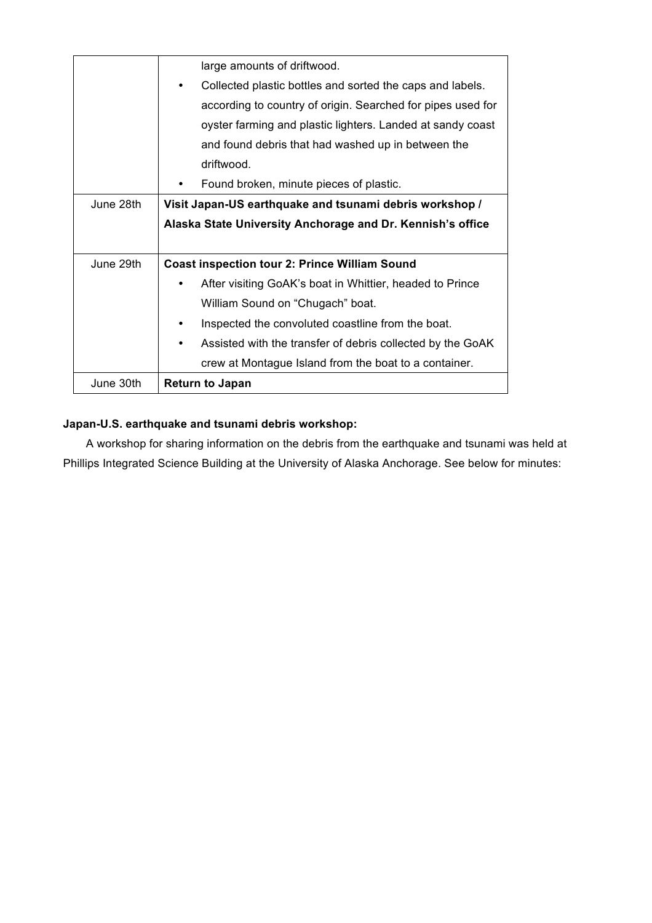|           | large amounts of driftwood.                                             |
|-----------|-------------------------------------------------------------------------|
|           | Collected plastic bottles and sorted the caps and labels.               |
|           | according to country of origin. Searched for pipes used for             |
|           | oyster farming and plastic lighters. Landed at sandy coast              |
|           | and found debris that had washed up in between the                      |
|           | driftwood.                                                              |
|           | Found broken, minute pieces of plastic.                                 |
| June 28th | Visit Japan-US earthquake and tsunami debris workshop /                 |
|           | Alaska State University Anchorage and Dr. Kennish's office              |
|           |                                                                         |
| June 29th | <b>Coast inspection tour 2: Prince William Sound</b>                    |
|           | After visiting GoAK's boat in Whittier, headed to Prince                |
|           | William Sound on "Chugach" boat.                                        |
|           | Inspected the convoluted coastline from the boat.                       |
|           | Assisted with the transfer of debris collected by the GoAK<br>$\bullet$ |
|           | crew at Montague Island from the boat to a container.                   |
| June 30th | <b>Return to Japan</b>                                                  |

# **Japan-U.S. earthquake and tsunami debris workshop:**

A workshop for sharing information on the debris from the earthquake and tsunami was held at Phillips Integrated Science Building at the University of Alaska Anchorage. See below for minutes: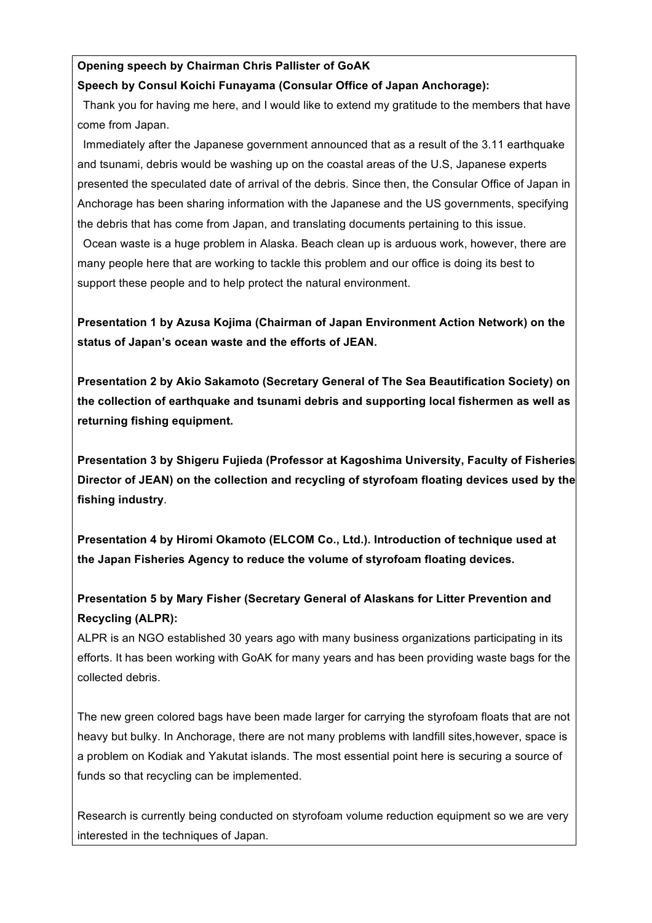# **Opening speech by Chairman Chris Pallister of GoAK**

## **Speech by Consul Koichi Funayama (Consular Office of Japan Anchorage):**

Thank you for having me here, and I would like to extend my gratitude to the members that have come from Japan.

Immediately after the Japanese government announced that as a result of the 3.11 earthquake and tsunami, debris would be washing up on the coastal areas of the U.S, Japanese experts presented the speculated date of arrival of the debris. Since then, the Consular Office of Japan in Anchorage has been sharing information with the Japanese and the US governments, specifying the debris that has come from Japan, and translating documents pertaining to this issue.

Ocean waste is a huge problem in Alaska. Beach clean up is arduous work, however, there are many people here that are working to tackle this problem and our office is doing its best to support these people and to help protect the natural environment.

**Presentation 1 by Azusa Kojima (Chairman of Japan Environment Action Network) on the status of Japan's ocean waste and the efforts of JEAN.**

**Presentation 2 by Akio Sakamoto (Secretary General of The Sea Beautification Society) on the collection of earthquake and tsunami debris and supporting local fishermen as well as returning fishing equipment.**

**Presentation 3 by Shigeru Fujieda (Professor at Kagoshima University, Faculty of Fisheries/ Director of JEAN) on the collection and recycling of styrofoam floating devices used by the fishing industry**.

**Presentation 4 by Hiromi Okamoto (ELCOM Co., Ltd.). Introduction of technique used at the Japan Fisheries Agency to reduce the volume of styrofoam floating devices.**

# **Presentation 5 by Mary Fisher (Secretary General of Alaskans for Litter Prevention and Recycling (ALPR):**

ALPR is an NGO established 30 years ago with many business organizations participating in its efforts. It has been working with GoAK for many years and has been providing waste bags for the collected debris.

The new green colored bags have been made larger for carrying the styrofoam floats that are not heavy but bulky. In Anchorage, there are not many problems with landfill sites,however, space is a problem on Kodiak and Yakutat islands. The most essential point here is securing a source of funds so that recycling can be implemented.

Research is currently being conducted on styrofoam volume reduction equipment so we are very interested in the techniques of Japan.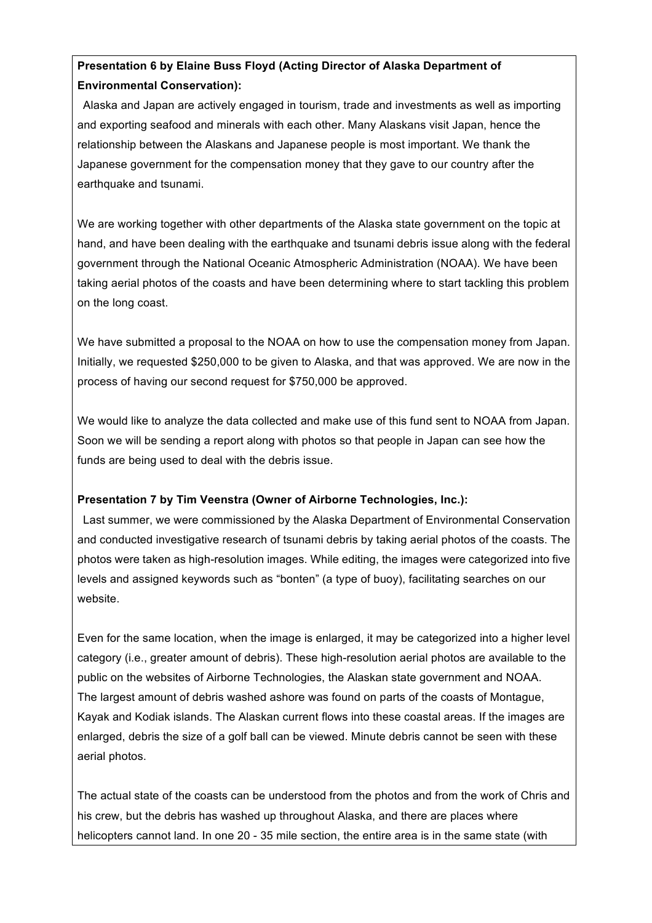# **Presentation 6 by Elaine Buss Floyd (Acting Director of Alaska Department of Environmental Conservation):**

Alaska and Japan are actively engaged in tourism, trade and investments as well as importing and exporting seafood and minerals with each other. Many Alaskans visit Japan, hence the relationship between the Alaskans and Japanese people is most important. We thank the Japanese government for the compensation money that they gave to our country after the earthquake and tsunami.

We are working together with other departments of the Alaska state government on the topic at hand, and have been dealing with the earthquake and tsunami debris issue along with the federal government through the National Oceanic Atmospheric Administration (NOAA). We have been taking aerial photos of the coasts and have been determining where to start tackling this problem on the long coast.

We have submitted a proposal to the NOAA on how to use the compensation money from Japan. Initially, we requested \$250,000 to be given to Alaska, and that was approved. We are now in the process of having our second request for \$750,000 be approved.

We would like to analyze the data collected and make use of this fund sent to NOAA from Japan. Soon we will be sending a report along with photos so that people in Japan can see how the funds are being used to deal with the debris issue.

## **Presentation 7 by Tim Veenstra (Owner of Airborne Technologies, Inc.):**

Last summer, we were commissioned by the Alaska Department of Environmental Conservation and conducted investigative research of tsunami debris by taking aerial photos of the coasts. The photos were taken as high-resolution images. While editing, the images were categorized into five levels and assigned keywords such as "bonten" (a type of buoy), facilitating searches on our website.

Even for the same location, when the image is enlarged, it may be categorized into a higher level category (i.e., greater amount of debris). These high-resolution aerial photos are available to the public on the websites of Airborne Technologies, the Alaskan state government and NOAA. The largest amount of debris washed ashore was found on parts of the coasts of Montague, Kayak and Kodiak islands. The Alaskan current flows into these coastal areas. If the images are enlarged, debris the size of a golf ball can be viewed. Minute debris cannot be seen with these aerial photos.

The actual state of the coasts can be understood from the photos and from the work of Chris and his crew, but the debris has washed up throughout Alaska, and there are places where helicopters cannot land. In one 20 - 35 mile section, the entire area is in the same state (with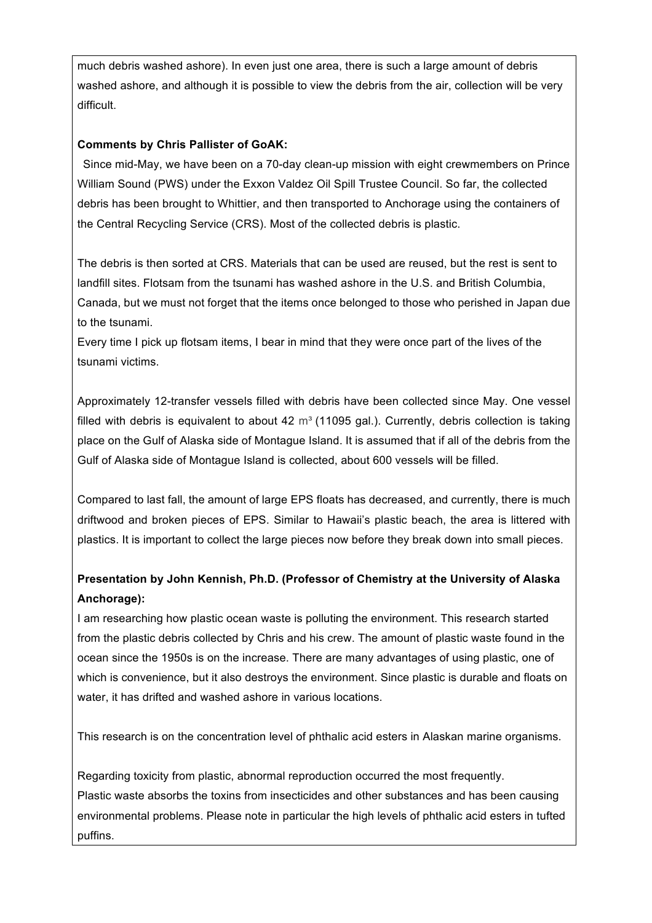much debris washed ashore). In even just one area, there is such a large amount of debris washed ashore, and although it is possible to view the debris from the air, collection will be very difficult.

# **Comments by Chris Pallister of GoAK:**

Since mid-May, we have been on a 70-day clean-up mission with eight crewmembers on Prince William Sound (PWS) under the Exxon Valdez Oil Spill Trustee Council. So far, the collected debris has been brought to Whittier, and then transported to Anchorage using the containers of the Central Recycling Service (CRS). Most of the collected debris is plastic.

The debris is then sorted at CRS. Materials that can be used are reused, but the rest is sent to landfill sites. Flotsam from the tsunami has washed ashore in the U.S. and British Columbia, Canada, but we must not forget that the items once belonged to those who perished in Japan due to the tsunami.

Every time I pick up flotsam items, I bear in mind that they were once part of the lives of the tsunami victims.

Approximately 12-transfer vessels filled with debris have been collected since May. One vessel filled with debris is equivalent to about 42  $\text{m}^3$  (11095 gal.). Currently, debris collection is taking place on the Gulf of Alaska side of Montague Island. It is assumed that if all of the debris from the Gulf of Alaska side of Montague Island is collected, about 600 vessels will be filled.

Compared to last fall, the amount of large EPS floats has decreased, and currently, there is much driftwood and broken pieces of EPS. Similar to Hawaii's plastic beach, the area is littered with plastics. It is important to collect the large pieces now before they break down into small pieces.

# **Presentation by John Kennish, Ph.D. (Professor of Chemistry at the University of Alaska Anchorage):**

I am researching how plastic ocean waste is polluting the environment. This research started from the plastic debris collected by Chris and his crew. The amount of plastic waste found in the ocean since the 1950s is on the increase. There are many advantages of using plastic, one of which is convenience, but it also destroys the environment. Since plastic is durable and floats on water, it has drifted and washed ashore in various locations.

This research is on the concentration level of phthalic acid esters in Alaskan marine organisms.

Regarding toxicity from plastic, abnormal reproduction occurred the most frequently. Plastic waste absorbs the toxins from insecticides and other substances and has been causing environmental problems. Please note in particular the high levels of phthalic acid esters in tufted puffins.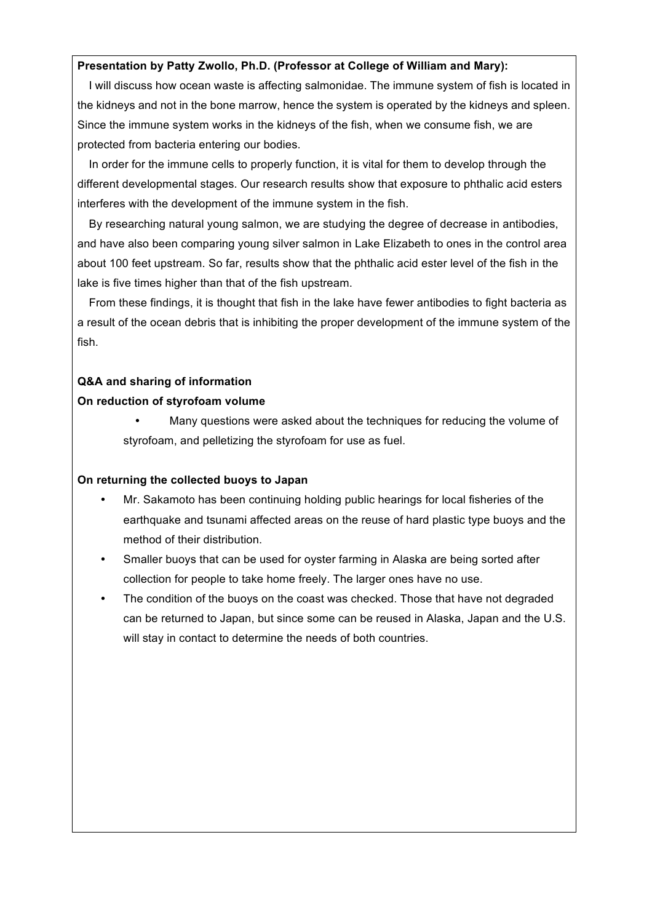### **Presentation by Patty Zwollo, Ph.D. (Professor at College of William and Mary):**

I will discuss how ocean waste is affecting salmonidae. The immune system of fish is located in the kidneys and not in the bone marrow, hence the system is operated by the kidneys and spleen. Since the immune system works in the kidneys of the fish, when we consume fish, we are protected from bacteria entering our bodies.

In order for the immune cells to properly function, it is vital for them to develop through the different developmental stages. Our research results show that exposure to phthalic acid esters interferes with the development of the immune system in the fish.

By researching natural young salmon, we are studying the degree of decrease in antibodies, and have also been comparing young silver salmon in Lake Elizabeth to ones in the control area about 100 feet upstream. So far, results show that the phthalic acid ester level of the fish in the lake is five times higher than that of the fish upstream.

From these findings, it is thought that fish in the lake have fewer antibodies to fight bacteria as a result of the ocean debris that is inhibiting the proper development of the immune system of the fish.

### **Q&A and sharing of information**

### **On reduction of styrofoam volume**

 Many questions were asked about the techniques for reducing the volume of styrofoam, and pelletizing the styrofoam for use as fuel.

#### **On returning the collected buoys to Japan**

- Mr. Sakamoto has been continuing holding public hearings for local fisheries of the earthquake and tsunami affected areas on the reuse of hard plastic type buoys and the method of their distribution.
- Smaller buoys that can be used for oyster farming in Alaska are being sorted after collection for people to take home freely. The larger ones have no use.
- The condition of the buoys on the coast was checked. Those that have not degraded can be returned to Japan, but since some can be reused in Alaska, Japan and the U.S. will stay in contact to determine the needs of both countries.